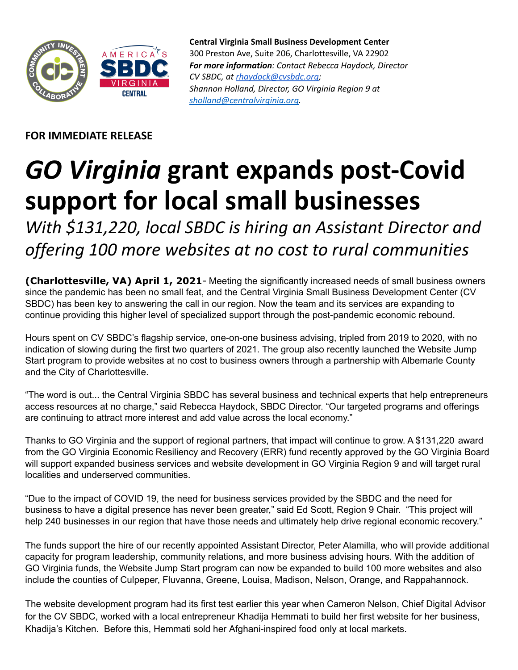

**Central Virginia Small Business Development Center** 300 Preston Ave, Suite 206, Charlottesville, VA 22902 *For more information: Contact Rebecca Haydock, Director CV SBDC, at [rhaydock@cvsbdc.org](mailto:rhaydock@cvsbdc.org); Shannon Holland, Director, GO Virginia Region 9 at [sholland@centralvirginia.org](mailto:sholland@centralvirginia.org).*

**FOR IMMEDIATE RELEASE**

## *GO Virginia* **grant expands post-Covid support for local small businesses**

*With \$131,220, local SBDC is hiring an Assistant Director and offering 100 more websites at no cost to rural communities*

**(Charlottesville, VA) April 1, 2021**- Meeting the significantly increased needs of small business owners since the pandemic has been no small feat, and the Central Virginia Small Business Development Center (CV SBDC) has been key to answering the call in our region. Now the team and its services are expanding to continue providing this higher level of specialized support through the post-pandemic economic rebound.

Hours spent on CV SBDC's flagship service, one-on-one business advising, tripled from 2019 to 2020, with no indication of slowing during the first two quarters of 2021. The group also recently launched the Website Jump Start program to provide websites at no cost to business owners through a partnership with Albemarle County and the City of Charlottesville.

"The word is out... the Central Virginia SBDC has several business and technical experts that help entrepreneurs access resources at no charge," said Rebecca Haydock, SBDC Director. "Our targeted programs and offerings are continuing to attract more interest and add value across the local economy."

Thanks to GO Virginia and the support of regional partners, that impact will continue to grow. A \$131,220 award from the GO Virginia Economic Resiliency and Recovery (ERR) fund recently approved by the GO Virginia Board will support expanded business services and website development in GO Virginia Region 9 and will target rural localities and underserved communities.

"Due to the impact of COVID 19, the need for business services provided by the SBDC and the need for business to have a digital presence has never been greater," said Ed Scott, Region 9 Chair. "This project will help 240 businesses in our region that have those needs and ultimately help drive regional economic recovery."

The funds support the hire of our recently appointed Assistant Director, Peter Alamilla, who will provide additional capacity for program leadership, community relations, and more business advising hours. With the addition of GO Virginia funds, the Website Jump Start program can now be expanded to build 100 more websites and also include the counties of Culpeper, Fluvanna, Greene, Louisa, Madison, Nelson, Orange, and Rappahannock.

The website development program had its first test earlier this year when Cameron Nelson, Chief Digital Advisor for the CV SBDC, worked with a local entrepreneur Khadija Hemmati to build her first website for her business, Khadija's Kitchen. Before this, Hemmati sold her Afghani-inspired food only at local markets.